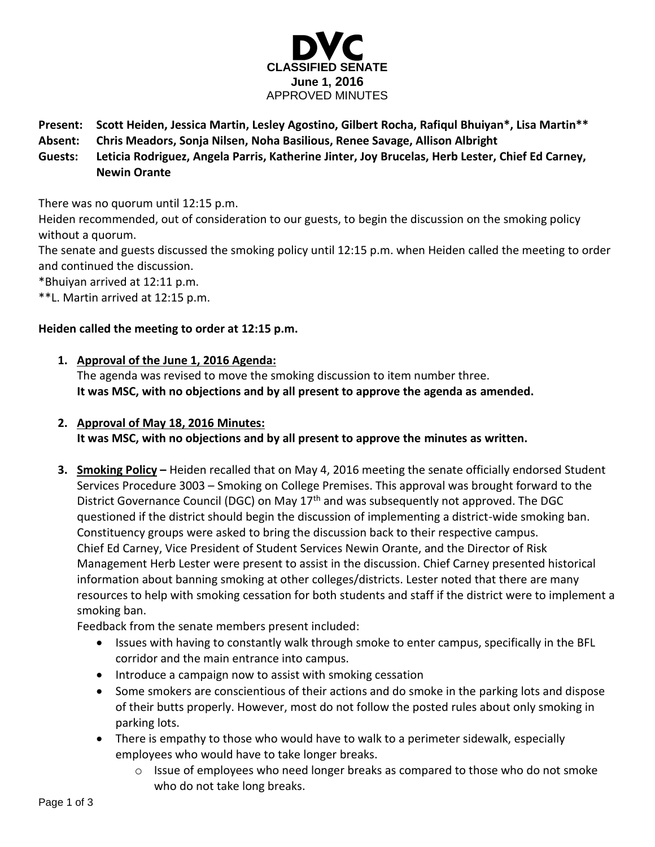

- **Present: Scott Heiden, Jessica Martin, Lesley Agostino, Gilbert Rocha, Rafiqul Bhuiyan\*, Lisa Martin\*\***
- **Absent: Chris Meadors, Sonja Nilsen, Noha Basilious, Renee Savage, Allison Albright**
- **Guests: Leticia Rodriguez, Angela Parris, Katherine Jinter, Joy Brucelas, Herb Lester, Chief Ed Carney, Newin Orante**

There was no quorum until 12:15 p.m.

Heiden recommended, out of consideration to our guests, to begin the discussion on the smoking policy without a quorum.

The senate and guests discussed the smoking policy until 12:15 p.m. when Heiden called the meeting to order and continued the discussion.

\*Bhuiyan arrived at 12:11 p.m.

\*\*L. Martin arrived at 12:15 p.m.

# **Heiden called the meeting to order at 12:15 p.m.**

# **1. Approval of the June 1, 2016 Agenda:**

The agenda was revised to move the smoking discussion to item number three. **It was MSC, with no objections and by all present to approve the agenda as amended.**

# **2. Approval of May 18, 2016 Minutes:**

**It was MSC, with no objections and by all present to approve the minutes as written.**

**3. Smoking Policy –** Heiden recalled that on May 4, 2016 meeting the senate officially endorsed Student Services Procedure 3003 – Smoking on College Premises. This approval was brought forward to the District Governance Council (DGC) on May  $17<sup>th</sup>$  and was subsequently not approved. The DGC questioned if the district should begin the discussion of implementing a district-wide smoking ban. Constituency groups were asked to bring the discussion back to their respective campus. Chief Ed Carney, Vice President of Student Services Newin Orante, and the Director of Risk Management Herb Lester were present to assist in the discussion. Chief Carney presented historical information about banning smoking at other colleges/districts. Lester noted that there are many resources to help with smoking cessation for both students and staff if the district were to implement a smoking ban.

Feedback from the senate members present included:

- Issues with having to constantly walk through smoke to enter campus, specifically in the BFL corridor and the main entrance into campus.
- Introduce a campaign now to assist with smoking cessation
- Some smokers are conscientious of their actions and do smoke in the parking lots and dispose of their butts properly. However, most do not follow the posted rules about only smoking in parking lots.
- There is empathy to those who would have to walk to a perimeter sidewalk, especially employees who would have to take longer breaks.
	- o Issue of employees who need longer breaks as compared to those who do not smoke who do not take long breaks.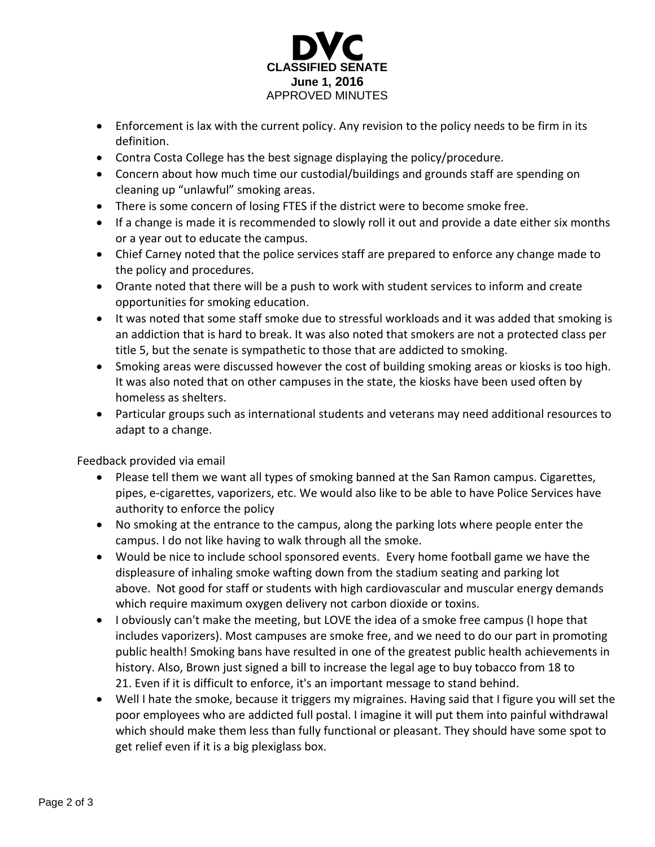

- Enforcement is lax with the current policy. Any revision to the policy needs to be firm in its definition.
- Contra Costa College has the best signage displaying the policy/procedure.
- Concern about how much time our custodial/buildings and grounds staff are spending on cleaning up "unlawful" smoking areas.
- There is some concern of losing FTES if the district were to become smoke free.
- If a change is made it is recommended to slowly roll it out and provide a date either six months or a year out to educate the campus.
- Chief Carney noted that the police services staff are prepared to enforce any change made to the policy and procedures.
- Orante noted that there will be a push to work with student services to inform and create opportunities for smoking education.
- It was noted that some staff smoke due to stressful workloads and it was added that smoking is an addiction that is hard to break. It was also noted that smokers are not a protected class per title 5, but the senate is sympathetic to those that are addicted to smoking.
- Smoking areas were discussed however the cost of building smoking areas or kiosks is too high. It was also noted that on other campuses in the state, the kiosks have been used often by homeless as shelters.
- Particular groups such as international students and veterans may need additional resources to adapt to a change.

Feedback provided via email

- Please tell them we want all types of smoking banned at the San Ramon campus. Cigarettes, pipes, e-cigarettes, vaporizers, etc. We would also like to be able to have Police Services have authority to enforce the policy
- No smoking at the entrance to the campus, along the parking lots where people enter the campus. I do not like having to walk through all the smoke.
- Would be nice to include school sponsored events. Every home football game we have the displeasure of inhaling smoke wafting down from the stadium seating and parking lot above. Not good for staff or students with high cardiovascular and muscular energy demands which require maximum oxygen delivery not carbon dioxide or toxins.
- I obviously can't make the meeting, but LOVE the idea of a smoke free campus (I hope that includes vaporizers). Most campuses are smoke free, and we need to do our part in promoting public health! Smoking bans have resulted in one of the greatest public health achievements in history. Also, Brown just signed a bill to increase the legal age to buy tobacco from 18 to 21. Even if it is difficult to enforce, it's an important message to stand behind.
- Well I hate the smoke, because it triggers my migraines. Having said that I figure you will set the poor employees who are addicted full postal. I imagine it will put them into painful withdrawal which should make them less than fully functional or pleasant. They should have some spot to get relief even if it is a big plexiglass box.